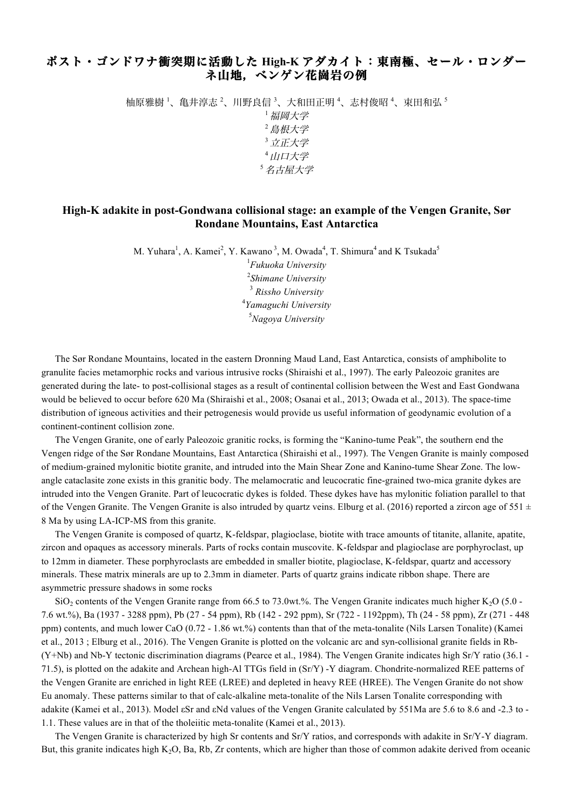## ポスト・ゴンドワナ衝突期に活動した **High-K** アダカイト:東南極、セール・ロンダー ネ山地,ベンゲン花崗岩の例

柚原雅樹 '、亀井淳志 <sup>2</sup>、川野良信 <sup>3</sup>、大和田正明 <sup>4</sup>、志村俊昭 <sup>4</sup>、束田和弘 <sup>5</sup>

<sup>1</sup>福岡大学 <sup>2</sup>島根大学 <sup>3</sup>立正大学 <sup>4</sup>山口大学 <sup>5</sup>名古屋大学

## **High-K adakite in post-Gondwana collisional stage: an example of the Vengen Granite, Sør Rondane Mountains, East Antarctica**

M. Yuhara<sup>1</sup>, A. Kamei<sup>2</sup>, Y. Kawano<sup>3</sup>, M. Owada<sup>4</sup>, T. Shimura<sup>4</sup> and K Tsukada<sup>5</sup> *Fukuoka University Shimane University Rissho University Yamaguchi University Nagoya University*

The Sør Rondane Mountains, located in the eastern Dronning Maud Land, East Antarctica, consists of amphibolite to granulite facies metamorphic rocks and various intrusive rocks (Shiraishi et al., 1997). The early Paleozoic granites are generated during the late- to post-collisional stages as a result of continental collision between the West and East Gondwana would be believed to occur before 620 Ma (Shiraishi et al., 2008; Osanai et al., 2013; Owada et al., 2013). The space-time distribution of igneous activities and their petrogenesis would provide us useful information of geodynamic evolution of a continent-continent collision zone.

The Vengen Granite, one of early Paleozoic granitic rocks, is forming the "Kanino-tume Peak", the southern end the Vengen ridge of the Sør Rondane Mountains, East Antarctica (Shiraishi et al., 1997). The Vengen Granite is mainly composed of medium-grained mylonitic biotite granite, and intruded into the Main Shear Zone and Kanino-tume Shear Zone. The lowangle cataclasite zone exists in this granitic body. The melamocratic and leucocratic fine-grained two-mica granite dykes are intruded into the Vengen Granite. Part of leucocratic dykes is folded. These dykes have has mylonitic foliation parallel to that of the Vengen Granite. The Vengen Granite is also intruded by quartz veins. Elburg et al. (2016) reported a zircon age of 551  $\pm$ 8 Ma by using LA-ICP-MS from this granite.

The Vengen Granite is composed of quartz, K-feldspar, plagioclase, biotite with trace amounts of titanite, allanite, apatite, zircon and opaques as accessory minerals. Parts of rocks contain muscovite. K-feldspar and plagioclase are porphyroclast, up to 12mm in diameter. These porphyroclasts are embedded in smaller biotite, plagioclase, K-feldspar, quartz and accessory minerals. These matrix minerals are up to 2.3mm in diameter. Parts of quartz grains indicate ribbon shape. There are asymmetric pressure shadows in some rocks

 $SiO<sub>2</sub>$  contents of the Vengen Granite range from 66.5 to 73.0wt.%. The Vengen Granite indicates much higher K<sub>2</sub>O (5.0 -7.6 wt.%), Ba (1937 - 3288 ppm), Pb (27 - 54 ppm), Rb (142 - 292 ppm), Sr (722 - 1192ppm), Th (24 - 58 ppm), Zr (271 - 448 ppm) contents, and much lower CaO (0.72 - 1.86 wt.%) contents than that of the meta-tonalite (Nils Larsen Tonalite) (Kamei et al., 2013 ; Elburg et al., 2016). The Vengen Granite is plotted on the volcanic arc and syn-collisional granite fields in Rb- (Y+Nb) and Nb-Y tectonic discrimination diagrams (Pearce et al., 1984). The Vengen Granite indicates high Sr/Y ratio (36.1 - 71.5), is plotted on the adakite and Archean high-Al TTGs field in (Sr/Y) -Y diagram. Chondrite-normalized REE patterns of the Vengen Granite are enriched in light REE (LREE) and depleted in heavy REE (HREE). The Vengen Granite do not show Eu anomaly. These patterns similar to that of calc-alkaline meta-tonalite of the Nils Larsen Tonalite corresponding with adakite (Kamei et al., 2013). Model εSr and εNd values of the Vengen Granite calculated by 551Ma are 5.6 to 8.6 and -2.3 to - 1.1. These values are in that of the tholeiitic meta-tonalite (Kamei et al., 2013).

The Vengen Granite is characterized by high Sr contents and Sr/Y ratios, and corresponds with adakite in Sr/Y-Y diagram. But, this granite indicates high K2O, Ba, Rb, Zr contents, which are higher than those of common adakite derived from oceanic